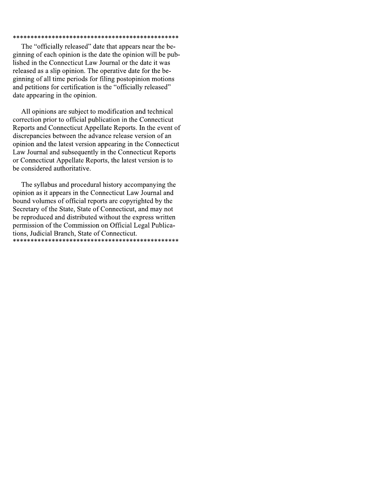#### 

The "officially released" date that appears near the beginning of each opinion is the date the opinion will be published in the Connecticut Law Journal or the date it was released as a slip opinion. The operative date for the beginning of all time periods for filing postopinion motions and petitions for certification is the "officially released" date appearing in the opinion.

All opinions are subject to modification and technical correction prior to official publication in the Connecticut Reports and Connecticut Appellate Reports. In the event of discrepancies between the advance release version of an opinion and the latest version appearing in the Connecticut Law Journal and subsequently in the Connecticut Reports or Connecticut Appellate Reports, the latest version is to be considered authoritative.

The syllabus and procedural history accompanying the opinion as it appears in the Connecticut Law Journal and bound volumes of official reports are copyrighted by the Secretary of the State, State of Connecticut, and may not be reproduced and distributed without the express written permission of the Commission on Official Legal Publications, Judicial Branch, State of Connecticut.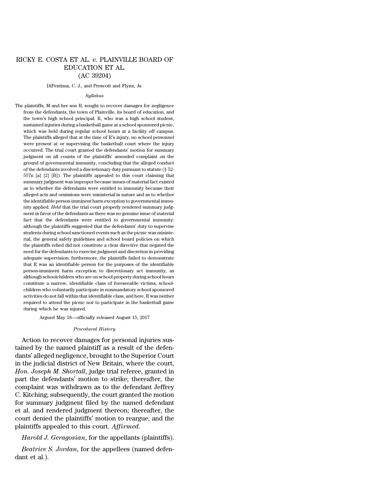# RICKY E. COSTA ET AL. *v.* PLAINVILLE BOARD OF EDUCATION ET AL. (AC 39204)

DiPentima, C. J., and Prescott and Flynn, Js.

#### *Syllabus*

The plaintiffs, M and her son R, sought to recover damages for negligence from the defendants, the town of Plainville, its board of education, and the town's high school principal. R, who was a high school student, sustained injuries during a basketball game at a school sponsored picnic, which was held during regular school hours at a facility off campus. The plaintiffs alleged that at the time of R's injury, no school personnel were present at or supervising the basketball court where the injury occurred. The trial court granted the defendants' motion for summary judgment on all counts of the plaintiffs' amended complaint on the ground of governmental immunity, concluding that the alleged conduct of the defendants involved a discretionary duty pursuant to statute (§ 52- 557n [a] [2] [B]). The plaintiffs appealed to this court claiming that summary judgment was improper because issues of material fact existed as to whether the defendants were entitled to immunity because their alleged acts and omissions were ministerial in nature and as to whether the identifiable person-imminent harm exception to governmental immunity applied. *Held* that the trial court properly rendered summary judgment in favor of the defendants as there was no genuine issue of material fact that the defendants were entitled to governmental immunity: although the plaintiffs suggested that the defendants' duty to supervise students during school sanctioned events such as the picnic was ministerial, the general safety guidelines and school board policies on which the plaintiffs relied did not constitute a clear directive that negated the need forthe defendants to exercise judgment and discretion in providing adequate supervision; furthermore, the plaintiffs failed to demonstrate that R was an identifiable person for the purposes of the identifiable person-imminent harm exception to discretionary act immunity, as although schoolchildren who are on school property during school hours constitute a narrow, identifiable class of foreseeable victims, schoolchildren who voluntarily participate in nonmandatory school sponsored activities do not fall within that identifiable class, and here, R was neither required to attend the picnic nor to participate in the basketball game during which he was injured.

Argued May 18—officially released August 15, 2017

### *Procedural History*

Action to recover damages for personal injuries sustained by the named plaintiff as a result of the defendants' alleged negligence, brought to the Superior Court in the judicial district of New Britain, where the court, *Hon. Joseph M. Shortall*, judge trial referee, granted in part the defendants' motion to strike; thereafter, the complaint was withdrawn as to the defendant Jeffrey C. Kitching; subsequently, the court granted the motion for summary judgment filed by the named defendant et al. and rendered judgment thereon; thereafter, the court denied the plaintiffs' motion to reargue, and the plaintiffs appealed to this court. *Affirmed*.

*Harold J. Geragosian*, for the appellants (plaintiffs).

*Beatrice S. Jordan*, for the appellees (named defendant et al.).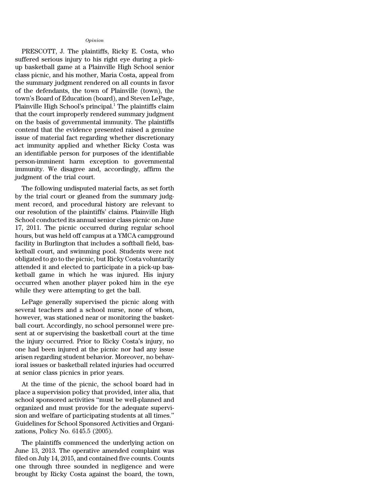### *Opinion*

PRESCOTT, J. The plaintiffs, Ricky E. Costa, who suffered serious injury to his right eye during a pickup basketball game at a Plainville High School senior class picnic, and his mother, Maria Costa, appeal from the summary judgment rendered on all counts in favor of the defendants, the town of Plainville (town), the town's Board of Education (board), and Steven LePage, Plainville High School's principal.<sup>1</sup> The plaintiffs claim that the court improperly rendered summary judgment on the basis of governmental immunity. The plaintiffs contend that the evidence presented raised a genuine issue of material fact regarding whether discretionary act immunity applied and whether Ricky Costa was an identifiable person for purposes of the identifiable person-imminent harm exception to governmental immunity. We disagree and, accordingly, affirm the judgment of the trial court.

The following undisputed material facts, as set forth by the trial court or gleaned from the summary judgment record, and procedural history are relevant to our resolution of the plaintiffs' claims. Plainville High School conducted its annual senior class picnic on June 17, 2011. The picnic occurred during regular school hours, but was held off campus at a YMCA campground facility in Burlington that includes a softball field, basketball court, and swimming pool. Students were not obligated to go to the picnic, but Ricky Costa voluntarily attended it and elected to participate in a pick-up basketball game in which he was injured. His injury occurred when another player poked him in the eye while they were attempting to get the ball.

LePage generally supervised the picnic along with several teachers and a school nurse, none of whom, however, was stationed near or monitoring the basketball court. Accordingly, no school personnel were present at or supervising the basketball court at the time the injury occurred. Prior to Ricky Costa's injury, no one had been injured at the picnic nor had any issue arisen regarding student behavior. Moreover, no behavioral issues or basketball related injuries had occurred at senior class picnics in prior years.

At the time of the picnic, the school board had in place a supervision policy that provided, inter alia, that school sponsored activities ''must be well-planned and organized and must provide for the adequate supervision and welfare of participating students at all times.'' Guidelines for School Sponsored Activities and Organizations, Policy No. 6145.5 (2005).

The plaintiffs commenced the underlying action on June 13, 2013. The operative amended complaint was filed on July 14, 2015, and contained five counts. Counts one through three sounded in negligence and were brought by Ricky Costa against the board, the town,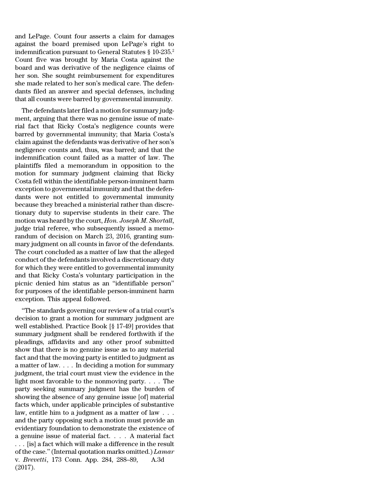and LePage. Count four asserts a claim for damages against the board premised upon LePage's right to indemnification pursuant to General Statutes § 10-235.<sup>2</sup> Count five was brought by Maria Costa against the board and was derivative of the negligence claims of her son. She sought reimbursement for expenditures she made related to her son's medical care. The defendants filed an answer and special defenses, including that all counts were barred by governmental immunity.

The defendants later filed a motion for summary judgment, arguing that there was no genuine issue of material fact that Ricky Costa's negligence counts were barred by governmental immunity; that Maria Costa's claim against the defendants was derivative of her son's negligence counts and, thus, was barred; and that the indemnification count failed as a matter of law. The plaintiffs filed a memorandum in opposition to the motion for summary judgment claiming that Ricky Costa fell within the identifiable person-imminent harm exception to governmental immunity and that the defendants were not entitled to governmental immunity because they breached a ministerial rather than discretionary duty to supervise students in their care. The motion was heard by the court, *Hon. Joseph M. Shortall*, judge trial referee, who subsequently issued a memorandum of decision on March 23, 2016, granting summary judgment on all counts in favor of the defendants. The court concluded as a matter of law that the alleged conduct of the defendants involved a discretionary duty for which they were entitled to governmental immunity and that Ricky Costa's voluntary participation in the picnic denied him status as an ''identifiable person'' for purposes of the identifiable person-imminent harm exception. This appeal followed.

''The standards governing our review of a trial court's decision to grant a motion for summary judgment are well established. Practice Book [§ 17-49] provides that summary judgment shall be rendered forthwith if the pleadings, affidavits and any other proof submitted show that there is no genuine issue as to any material fact and that the moving party is entitled to judgment as a matter of law. . . . In deciding a motion for summary judgment, the trial court must view the evidence in the light most favorable to the nonmoving party. . . . The party seeking summary judgment has the burden of showing the absence of any genuine issue [of] material facts which, under applicable principles of substantive law, entitle him to a judgment as a matter of law . . . and the party opposing such a motion must provide an evidentiary foundation to demonstrate the existence of a genuine issue of material fact. . . . A material fact . . . [is] a fact which will make a difference in the result of the case.''(Internal quotation marks omitted.) *Lamar* v. *Brevetti*, 173 Conn. App. 284, 288–89, A.3d (2017).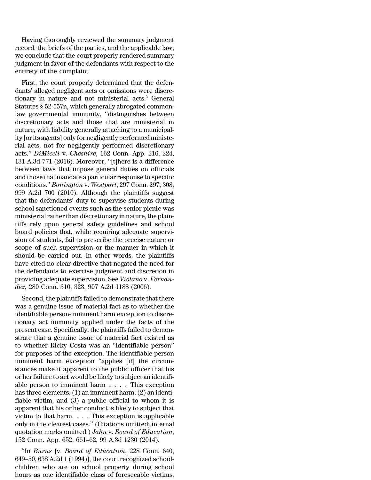Having thoroughly reviewed the summary judgment record, the briefs of the parties, and the applicable law, we conclude that the court properly rendered summary judgment in favor of the defendants with respect to the entirety of the complaint.

First, the court properly determined that the defendants' alleged negligent acts or omissions were discretionary in nature and not ministerial acts.<sup>3</sup> General Statutes § 52-557n, which generally abrogated commonlaw governmental immunity, ''distinguishes between discretionary acts and those that are ministerial in nature, with liability generally attaching to a municipality [orits agents] only for negligently performed ministerial acts, not for negligently performed discretionary acts.'' *DiMiceli* v. *Cheshire*, 162 Conn. App. 216, 224, 131 A.3d 771 (2016). Moreover, ''[t]here is a difference between laws that impose general duties on officials and those that mandate a particular response to specific conditions.'' *Bonington* v. *Westport*, 297 Conn. 297, 308, 999 A.2d 700 (2010). Although the plaintiffs suggest that the defendants' duty to supervise students during school sanctioned events such as the senior picnic was ministerial rather than discretionary in nature, the plaintiffs rely upon general safety guidelines and school board policies that, while requiring adequate supervision of students, fail to prescribe the precise nature or scope of such supervision or the manner in which it should be carried out. In other words, the plaintiffs have cited no clear directive that negated the need for the defendants to exercise judgment and discretion in providing adequate supervision. See *Violano* v. *Fernandez*, 280 Conn. 310, 323, 907 A.2d 1188 (2006).

Second, the plaintiffs failed to demonstrate that there was a genuine issue of material fact as to whether the identifiable person-imminent harm exception to discretionary act immunity applied under the facts of the present case. Specifically, the plaintiffs failed to demonstrate that a genuine issue of material fact existed as to whether Ricky Costa was an ''identifiable person'' for purposes of the exception. The identifiable-person imminent harm exception ''applies [if] the circumstances make it apparent to the public officer that his or herfailure to act would be likely to subject an identifiable person to imminent harm . . . . This exception has three elements: (1) an imminent harm; (2) an identifiable victim; and (3) a public official to whom it is apparent that his or her conduct is likely to subject that victim to that harm. . . . This exception is applicable only in the clearest cases.'' (Citations omitted; internal quotation marks omitted.) *Jahn* v. *Board of Education*, 152 Conn. App. 652, 661–62, 99 A.3d 1230 (2014).

''In *Burns* [v. *Board of Education*, 228 Conn. 640, 649–50, 638 A.2d 1 (1994)], the court recognized schoolchildren who are on school property during school hours as one identifiable class of foreseeable victims.